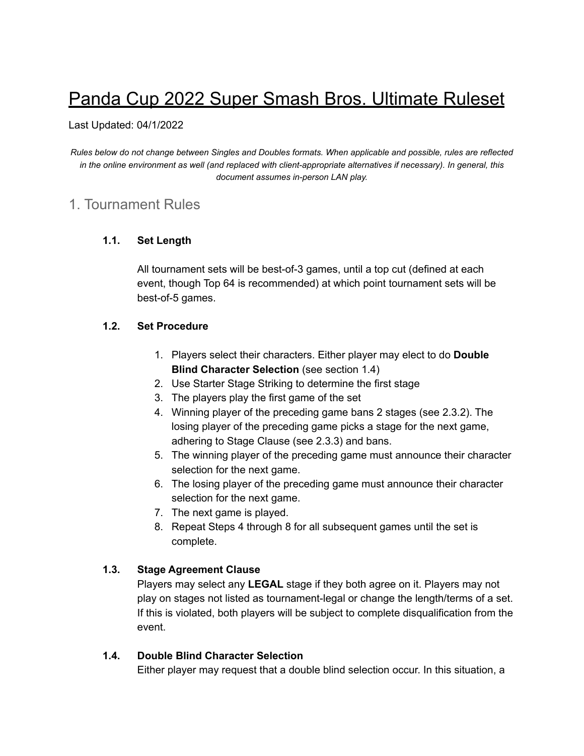# Panda Cup 2022 Super Smash Bros. Ultimate Ruleset

#### Last Updated: 04/1/2022

*Rules below do not change between Singles and Doubles formats. When applicable and possible, rules are reflected in the online environment as well (and replaced with client-appropriate alternatives if necessary). In general, this document assumes in-person LAN play.*

# 1. Tournament Rules

#### **1.1. Set Length**

All tournament sets will be best-of-3 games, until a top cut (defined at each event, though Top 64 is recommended) at which point tournament sets will be best-of-5 games.

#### **1.2. Set Procedure**

- 1. Players select their characters. Either player may elect to do **Double Blind Character Selection** (see section 1.4)
- 2. Use Starter Stage Striking to determine the first stage
- 3. The players play the first game of the set
- 4. Winning player of the preceding game bans 2 stages (see 2.3.2). The losing player of the preceding game picks a stage for the next game, adhering to Stage Clause (see 2.3.3) and bans.
- 5. The winning player of the preceding game must announce their character selection for the next game.
- 6. The losing player of the preceding game must announce their character selection for the next game.
- 7. The next game is played.
- 8. Repeat Steps 4 through 8 for all subsequent games until the set is complete.

# **1.3. Stage Agreement Clause**

Players may select any **LEGAL** stage if they both agree on it. Players may not play on stages not listed as tournament-legal or change the length/terms of a set. If this is violated, both players will be subject to complete disqualification from the event.

#### **1.4. Double Blind Character Selection**

Either player may request that a double blind selection occur. In this situation, a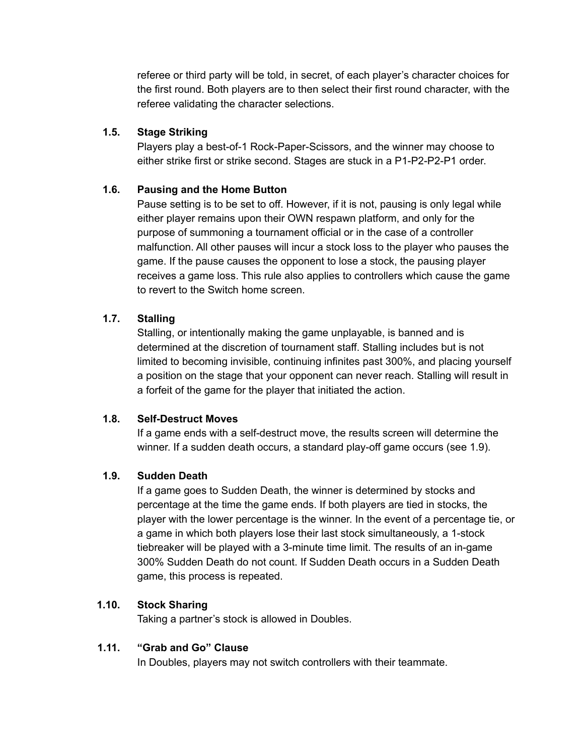referee or third party will be told, in secret, of each player's character choices for the first round. Both players are to then select their first round character, with the referee validating the character selections.

### **1.5. Stage Striking**

Players play a best-of-1 Rock-Paper-Scissors, and the winner may choose to either strike first or strike second. Stages are stuck in a P1-P2-P2-P1 order.

# **1.6. Pausing and the Home Button**

Pause setting is to be set to off. However, if it is not, pausing is only legal while either player remains upon their OWN respawn platform, and only for the purpose of summoning a tournament official or in the case of a controller malfunction. All other pauses will incur a stock loss to the player who pauses the game. If the pause causes the opponent to lose a stock, the pausing player receives a game loss. This rule also applies to controllers which cause the game to revert to the Switch home screen.

#### **1.7. Stalling**

Stalling, or intentionally making the game unplayable, is banned and is determined at the discretion of tournament staff. Stalling includes but is not limited to becoming invisible, continuing infinites past 300%, and placing yourself a position on the stage that your opponent can never reach. Stalling will result in a forfeit of the game for the player that initiated the action.

#### **1.8. Self-Destruct Moves**

If a game ends with a self-destruct move, the results screen will determine the winner. If a sudden death occurs, a standard play-off game occurs (see 1.9).

#### **1.9. Sudden Death**

If a game goes to Sudden Death, the winner is determined by stocks and percentage at the time the game ends. If both players are tied in stocks, the player with the lower percentage is the winner. In the event of a percentage tie, or a game in which both players lose their last stock simultaneously, a 1-stock tiebreaker will be played with a 3-minute time limit. The results of an in-game 300% Sudden Death do not count. If Sudden Death occurs in a Sudden Death game, this process is repeated.

#### **1.10. Stock Sharing**

Taking a partner's stock is allowed in Doubles.

#### **1.11. "Grab and Go" Clause**

In Doubles, players may not switch controllers with their teammate.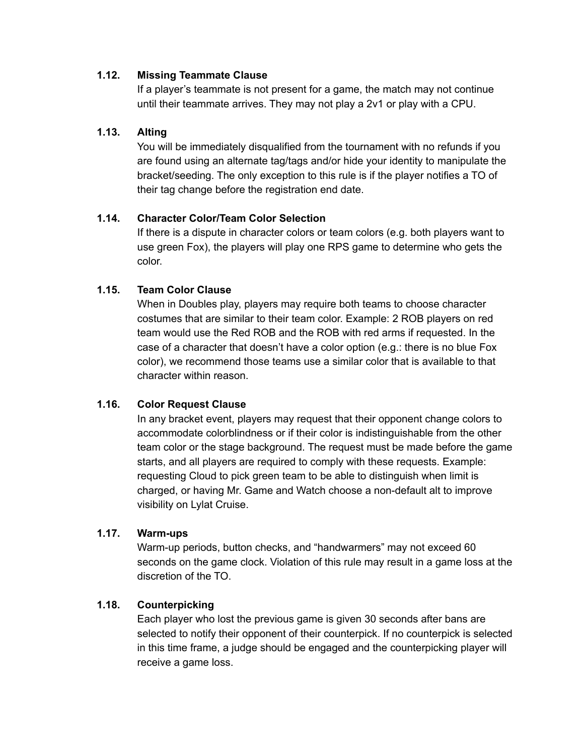#### **1.12. Missing Teammate Clause**

If a player's teammate is not present for a game, the match may not continue until their teammate arrives. They may not play a 2v1 or play with a CPU.

#### **1.13. Alting**

You will be immediately disqualified from the tournament with no refunds if you are found using an alternate tag/tags and/or hide your identity to manipulate the bracket/seeding. The only exception to this rule is if the player notifies a TO of their tag change before the registration end date.

#### **1.14. Character Color/Team Color Selection**

If there is a dispute in character colors or team colors (e.g. both players want to use green Fox), the players will play one RPS game to determine who gets the color.

#### **1.15. Team Color Clause**

When in Doubles play, players may require both teams to choose character costumes that are similar to their team color. Example: 2 ROB players on red team would use the Red ROB and the ROB with red arms if requested. In the case of a character that doesn't have a color option (e.g.: there is no blue Fox color), we recommend those teams use a similar color that is available to that character within reason.

#### **1.16. Color Request Clause**

In any bracket event, players may request that their opponent change colors to accommodate colorblindness or if their color is indistinguishable from the other team color or the stage background. The request must be made before the game starts, and all players are required to comply with these requests. Example: requesting Cloud to pick green team to be able to distinguish when limit is charged, or having Mr. Game and Watch choose a non-default alt to improve visibility on Lylat Cruise.

#### **1.17. Warm-ups**

Warm-up periods, button checks, and "handwarmers" may not exceed 60 seconds on the game clock. Violation of this rule may result in a game loss at the discretion of the TO.

#### **1.18. Counterpicking**

Each player who lost the previous game is given 30 seconds after bans are selected to notify their opponent of their counterpick. If no counterpick is selected in this time frame, a judge should be engaged and the counterpicking player will receive a game loss.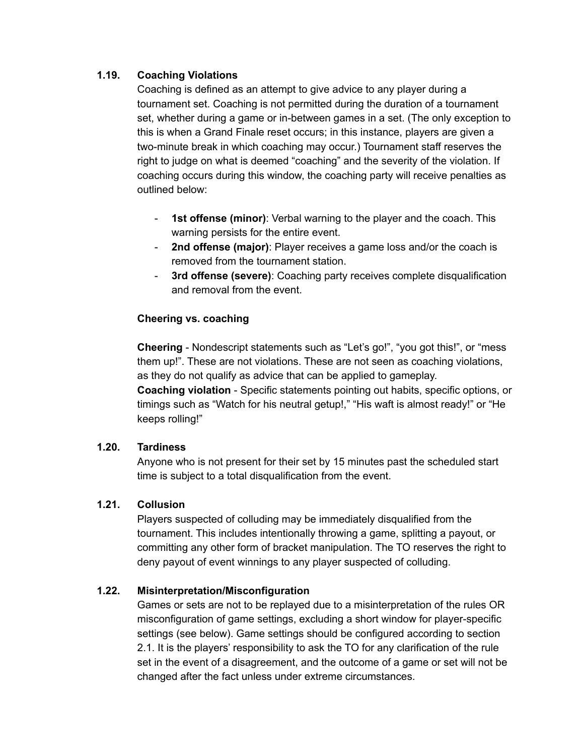### **1.19. Coaching Violations**

Coaching is defined as an attempt to give advice to any player during a tournament set. Coaching is not permitted during the duration of a tournament set, whether during a game or in-between games in a set. (The only exception to this is when a Grand Finale reset occurs; in this instance, players are given a two-minute break in which coaching may occur.) Tournament staff reserves the right to judge on what is deemed "coaching" and the severity of the violation. If coaching occurs during this window, the coaching party will receive penalties as outlined below:

- **1st offense (minor)**: Verbal warning to the player and the coach. This warning persists for the entire event.
- **2nd offense (major)**: Player receives a game loss and/or the coach is removed from the tournament station.
- **3rd offense (severe)**: Coaching party receives complete disqualification and removal from the event.

#### **Cheering vs. coaching**

**Cheering** - Nondescript statements such as "Let's go!", "you got this!", or "mess them up!". These are not violations. These are not seen as coaching violations, as they do not qualify as advice that can be applied to gameplay.

**Coaching violation** - Specific statements pointing out habits, specific options, or timings such as "Watch for his neutral getup!," "His waft is almost ready!" or "He keeps rolling!"

#### **1.20. Tardiness**

Anyone who is not present for their set by 15 minutes past the scheduled start time is subject to a total disqualification from the event.

#### **1.21. Collusion**

Players suspected of colluding may be immediately disqualified from the tournament. This includes intentionally throwing a game, splitting a payout, or committing any other form of bracket manipulation. The TO reserves the right to deny payout of event winnings to any player suspected of colluding.

# **1.22. Misinterpretation/Misconfiguration**

Games or sets are not to be replayed due to a misinterpretation of the rules OR misconfiguration of game settings, excluding a short window for player-specific settings (see below). Game settings should be configured according to section 2.1. It is the players' responsibility to ask the TO for any clarification of the rule set in the event of a disagreement, and the outcome of a game or set will not be changed after the fact unless under extreme circumstances.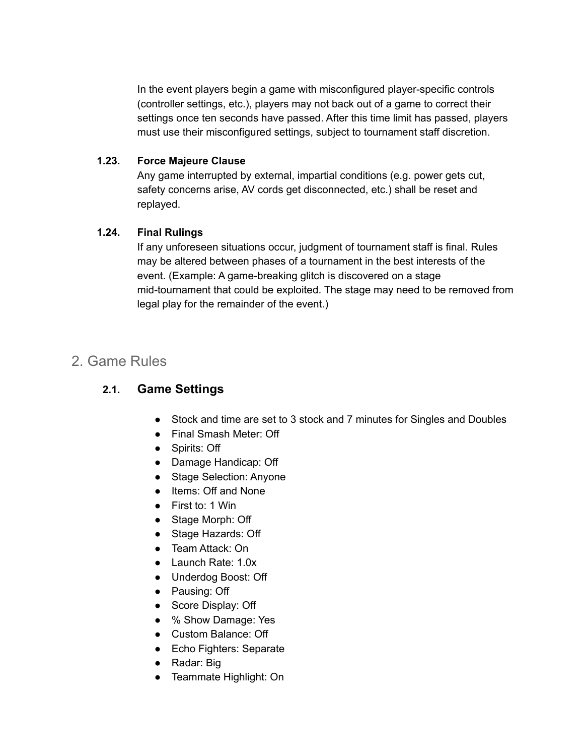In the event players begin a game with misconfigured player-specific controls (controller settings, etc.), players may not back out of a game to correct their settings once ten seconds have passed. After this time limit has passed, players must use their misconfigured settings, subject to tournament staff discretion.

### **1.23. Force Majeure Clause**

Any game interrupted by external, impartial conditions (e.g. power gets cut, safety concerns arise, AV cords get disconnected, etc.) shall be reset and replayed.

# **1.24. Final Rulings**

If any unforeseen situations occur, judgment of tournament staff is final. Rules may be altered between phases of a tournament in the best interests of the event. (Example: A game-breaking glitch is discovered on a stage mid-tournament that could be exploited. The stage may need to be removed from legal play for the remainder of the event.)

# 2. Game Rules

# **2.1. Game Settings**

- Stock and time are set to 3 stock and 7 minutes for Singles and Doubles
- Final Smash Meter: Off
- Spirits: Off
- Damage Handicap: Off
- Stage Selection: Anyone
- Items: Off and None
- First to: 1 Win
- Stage Morph: Off
- Stage Hazards: Off
- Team Attack: On
- Launch Rate: 1.0x
- Underdog Boost: Off
- Pausing: Off
- Score Display: Off
- % Show Damage: Yes
- Custom Balance: Off
- Echo Fighters: Separate
- Radar: Big
- Teammate Highlight: On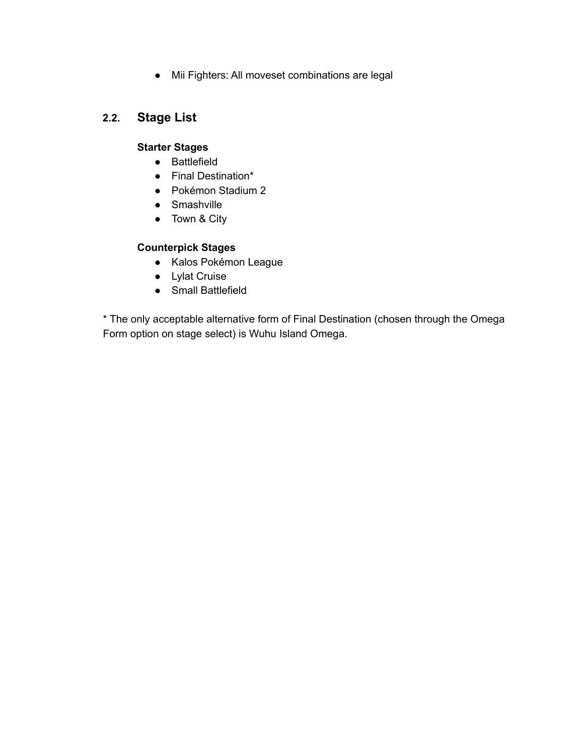● Mii Fighters: All moveset combinations are legal

# **2.2. Stage List**

# **Starter Stages**

- Battlefield
- Final Destination\*
- Pokémon Stadium 2
- Smashville
- Town & City

# **Counterpick Stages**

- Kalos Pokémon League
- Lylat Cruise
- Small Battlefield

\* The only acceptable alternative form of Final Destination (chosen through the Omega Form option on stage select) is Wuhu Island Omega.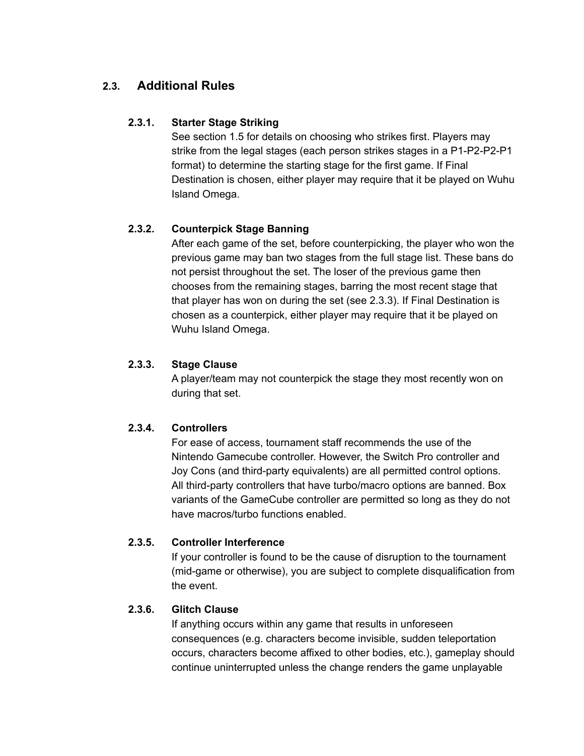# **2.3. Additional Rules**

# **2.3.1. Starter Stage Striking**

See section 1.5 for details on choosing who strikes first. Players may strike from the legal stages (each person strikes stages in a P1-P2-P2-P1 format) to determine the starting stage for the first game. If Final Destination is chosen, either player may require that it be played on Wuhu Island Omega.

# **2.3.2. Counterpick Stage Banning**

After each game of the set, before counterpicking, the player who won the previous game may ban two stages from the full stage list. These bans do not persist throughout the set. The loser of the previous game then chooses from the remaining stages, barring the most recent stage that that player has won on during the set (see 2.3.3). If Final Destination is chosen as a counterpick, either player may require that it be played on Wuhu Island Omega.

# **2.3.3. Stage Clause**

A player/team may not counterpick the stage they most recently won on during that set.

# **2.3.4. Controllers**

For ease of access, tournament staff recommends the use of the Nintendo Gamecube controller. However, the Switch Pro controller and Joy Cons (and third-party equivalents) are all permitted control options. All third-party controllers that have turbo/macro options are banned. Box variants of the GameCube controller are permitted so long as they do not have macros/turbo functions enabled.

# **2.3.5. Controller Interference**

If your controller is found to be the cause of disruption to the tournament (mid-game or otherwise), you are subject to complete disqualification from the event.

# **2.3.6. Glitch Clause**

If anything occurs within any game that results in unforeseen consequences (e.g. characters become invisible, sudden teleportation occurs, characters become affixed to other bodies, etc.), gameplay should continue uninterrupted unless the change renders the game unplayable